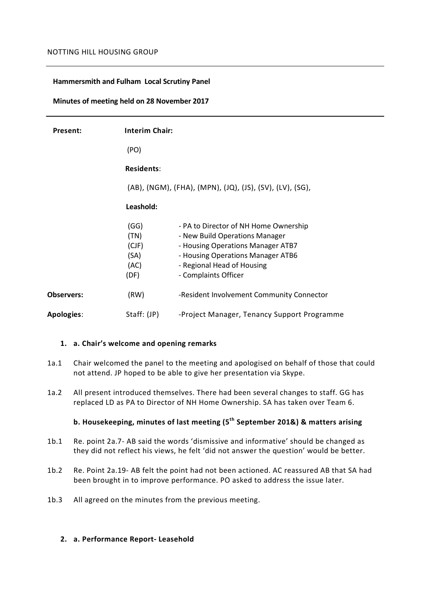### **Hammersmith and Fulham Local Scrutiny Panel**

### **Minutes of meeting held on 28 November 2017**

| Present:          | <b>Interim Chair:</b>                                    |                                                                                                                                                                                                         |
|-------------------|----------------------------------------------------------|---------------------------------------------------------------------------------------------------------------------------------------------------------------------------------------------------------|
|                   | (PO)                                                     |                                                                                                                                                                                                         |
|                   | <b>Residents:</b>                                        |                                                                                                                                                                                                         |
|                   | (AB), (NGM), (FHA), (MPN), (JQ), (JS), (SV), (LV), (SG), |                                                                                                                                                                                                         |
|                   | Leashold:                                                |                                                                                                                                                                                                         |
|                   | (GG)<br>(TN)<br>(CJF)<br>(SA)<br>(AC)<br>(DF)            | - PA to Director of NH Home Ownership<br>- New Build Operations Manager<br>- Housing Operations Manager ATB7<br>- Housing Operations Manager ATB6<br>- Regional Head of Housing<br>- Complaints Officer |
| <b>Observers:</b> | (RW)                                                     | -Resident Involvement Community Connector                                                                                                                                                               |
| <b>Apologies:</b> | Staff: (JP)                                              | -Project Manager, Tenancy Support Programme                                                                                                                                                             |

#### **1. a. Chair's welcome and opening remarks**

- 1a.1 Chair welcomed the panel to the meeting and apologised on behalf of those that could not attend. JP hoped to be able to give her presentation via Skype.
- 1a.2 All present introduced themselves. There had been several changes to staff. GG has replaced LD as PA to Director of NH Home Ownership. SA has taken over Team 6.

# **b. Housekeeping, minutes of last meeting (5th September 201&) & matters arising**

- 1b.1 Re. point 2a.7- AB said the words 'dismissive and informative' should be changed as they did not reflect his views, he felt 'did not answer the question' would be better.
- 1b.2 Re. Point 2a.19- AB felt the point had not been actioned. AC reassured AB that SA had been brought in to improve performance. PO asked to address the issue later.
- 1b.3 All agreed on the minutes from the previous meeting.

### **2. a. Performance Report- Leasehold**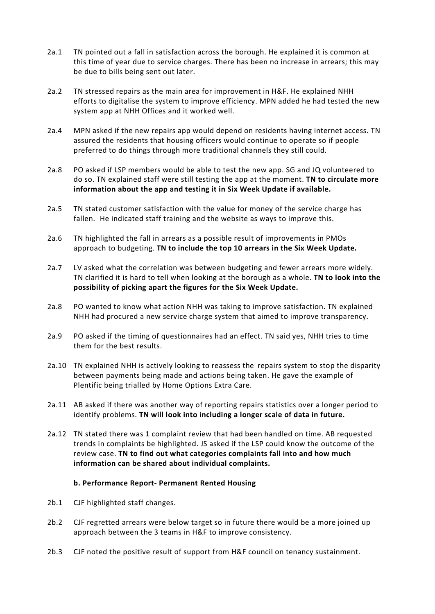- 2a.1 TN pointed out a fall in satisfaction across the borough. He explained it is common at this time of year due to service charges. There has been no increase in arrears; this may be due to bills being sent out later.
- 2a.2 TN stressed repairs as the main area for improvement in H&F. He explained NHH efforts to digitalise the system to improve efficiency. MPN added he had tested the new system app at NHH Offices and it worked well.
- 2a.4 MPN asked if the new repairs app would depend on residents having internet access. TN assured the residents that housing officers would continue to operate so if people preferred to do things through more traditional channels they still could.
- 2a.8 PO asked if LSP members would be able to test the new app. SG and JQ volunteered to do so. TN explained staff were still testing the app at the moment. **TN to circulate more information about the app and testing it in Six Week Update if available.**
- 2a.5 TN stated customer satisfaction with the value for money of the service charge has fallen. He indicated staff training and the website as ways to improve this.
- 2a.6 TN highlighted the fall in arrears as a possible result of improvements in PMOs approach to budgeting. **TN to include the top 10 arrears in the Six Week Update.**
- 2a.7 LV asked what the correlation was between budgeting and fewer arrears more widely. TN clarified it is hard to tell when looking at the borough as a whole. **TN to look into the possibility of picking apart the figures for the Six Week Update.**
- 2a.8 PO wanted to know what action NHH was taking to improve satisfaction. TN explained NHH had procured a new service charge system that aimed to improve transparency.
- 2a.9 PO asked if the timing of questionnaires had an effect. TN said yes, NHH tries to time them for the best results.
- 2a.10 TN explained NHH is actively looking to reassess the repairs system to stop the disparity between payments being made and actions being taken. He gave the example of Plentific being trialled by Home Options Extra Care.
- 2a.11 AB asked if there was another way of reporting repairs statistics over a longer period to identify problems. **TN will look into including a longer scale of data in future.**
- 2a.12 TN stated there was 1 complaint review that had been handled on time. AB requested trends in complaints be highlighted. JS asked if the LSP could know the outcome of the review case. **TN to find out what categories complaints fall into and how much information can be shared about individual complaints.**

### **b. Performance Report- Permanent Rented Housing**

- 2b.1 CJF highlighted staff changes.
- 2b.2 CJF regretted arrears were below target so in future there would be a more joined up approach between the 3 teams in H&F to improve consistency.
- 2b.3 CJF noted the positive result of support from H&F council on tenancy sustainment.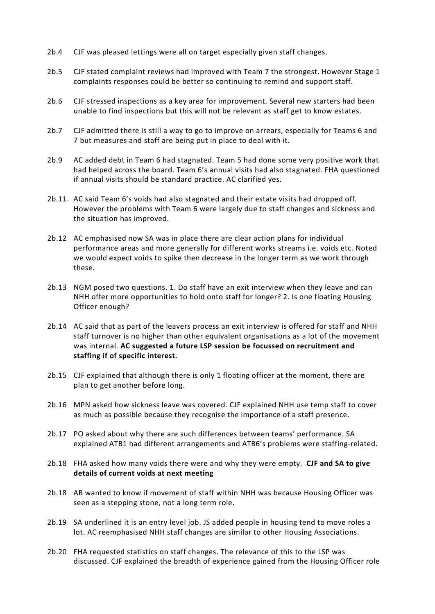- 2b.4 CJF was pleased lettings were all on target especially given staff changes.
- 2b.5 CJF stated complaint reviews had improved with Team 7 the strongest. However Stage 1 complaints responses could be better so continuing to remind and support staff.
- 2b.6 CJF stressed inspections as a key area for improvement. Several new starters had been unable to find inspections but this will not be relevant as staff get to know estates.
- 2b.7 CJF admitted there is still a way to go to improve on arrears, especially for Teams 6 and 7 but measures and staff are being put in place to deal with it.
- 2b.9 AC added debt in Team 6 had stagnated. Team 5 had done some very positive work that had helped across the board. Team 6's annual visits had also stagnated. FHA questioned if annual visits should be standard practice. AC clarified yes.
- 2b.11. AC said Team 6's voids had also stagnated and their estate visits had dropped off. However the problems with Team 6 were largely due to staff changes and sickness and the situation has improved.
- 2b.12 AC emphasised now SA was in place there are clear action plans for individual performance areas and more generally for different works streams i.e. voids etc. Noted we would expect voids to spike then decrease in the longer term as we work through these.
- 2b.13 NGM posed two questions. 1. Do staff have an exit interview when they leave and can NHH offer more opportunities to hold onto staff for longer? 2. Is one floating Housing Officer enough?
- 2b.14 AC said that as part of the leavers process an exit interview is offered for staff and NHH staff turnover is no higher than other equivalent organisations as a lot of the movement was internal. **AC suggested a future LSP session be focussed on recruitment and staffing if of specific interest.**
- 2b.15 CJF explained that although there is only 1 floating officer at the moment, there are plan to get another before long.
- 2b.16 MPN asked how sickness leave was covered. CJF explained NHH use temp staff to cover as much as possible because they recognise the importance of a staff presence.
- 2b.17 PO asked about why there are such differences between teams' performance. SA explained ATB1 had different arrangements and ATB6's problems were staffing-related.
- 2b.18 FHA asked how many voids there were and why they were empty. **CJF and SA to give details of current voids at next meeting**
- 2b.18 AB wanted to know if movement of staff within NHH was because Housing Officer was seen as a stepping stone, not a long term role.
- 2b.19 SA underlined it is an entry level job. JS added people in housing tend to move roles a lot. AC reemphasised NHH staff changes are similar to other Housing Associations.
- 2b.20 FHA requested statistics on staff changes. The relevance of this to the LSP was discussed. CJF explained the breadth of experience gained from the Housing Officer role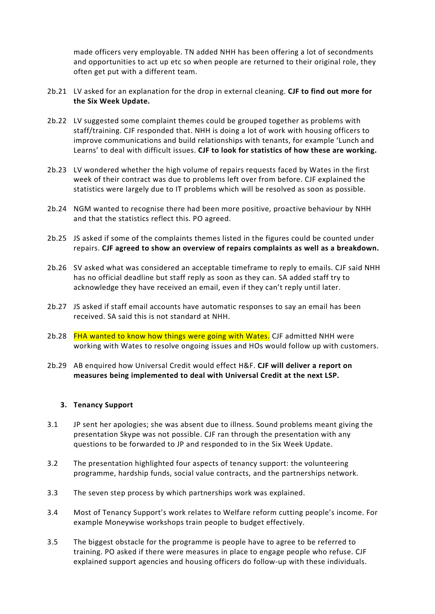made officers very employable. TN added NHH has been offering a lot of secondments and opportunities to act up etc so when people are returned to their original role, they often get put with a different team.

- 2b.21 LV asked for an explanation for the drop in external cleaning. **CJF to find out more for the Six Week Update.**
- 2b.22 LV suggested some complaint themes could be grouped together as problems with staff/training. CJF responded that. NHH is doing a lot of work with housing officers to improve communications and build relationships with tenants, for example 'Lunch and Learns' to deal with difficult issues. **CJF to look for statistics of how these are working.**
- 2b.23 LV wondered whether the high volume of repairs requests faced by Wates in the first week of their contract was due to problems left over from before. CJF explained the statistics were largely due to IT problems which will be resolved as soon as possible.
- 2b.24 NGM wanted to recognise there had been more positive, proactive behaviour by NHH and that the statistics reflect this. PO agreed.
- 2b.25 JS asked if some of the complaints themes listed in the figures could be counted under repairs. **CJF agreed to show an overview of repairs complaints as well as a breakdown.**
- 2b.26 SV asked what was considered an acceptable timeframe to reply to emails. CJF said NHH has no official deadline but staff reply as soon as they can. SA added staff try to acknowledge they have received an email, even if they can't reply until later.
- 2b.27 JS asked if staff email accounts have automatic responses to say an email has been received. SA said this is not standard at NHH.
- 2b.28 FHA wanted to know how things were going with Wates. CJF admitted NHH were working with Wates to resolve ongoing issues and HOs would follow up with customers.
- 2b.29 AB enquired how Universal Credit would effect H&F. **CJF will deliver a report on measures being implemented to deal with Universal Credit at the next LSP.**

### **3. Tenancy Support**

- 3.1 JP sent her apologies; she was absent due to illness. Sound problems meant giving the presentation Skype was not possible. CJF ran through the presentation with any questions to be forwarded to JP and responded to in the Six Week Update.
- 3.2 The presentation highlighted four aspects of tenancy support: the volunteering programme, hardship funds, social value contracts, and the partnerships network.
- 3.3 The seven step process by which partnerships work was explained.
- 3.4 Most of Tenancy Support's work relates to Welfare reform cutting people's income. For example Moneywise workshops train people to budget effectively.
- 3.5 The biggest obstacle for the programme is people have to agree to be referred to training. PO asked if there were measures in place to engage people who refuse. CJF explained support agencies and housing officers do follow-up with these individuals.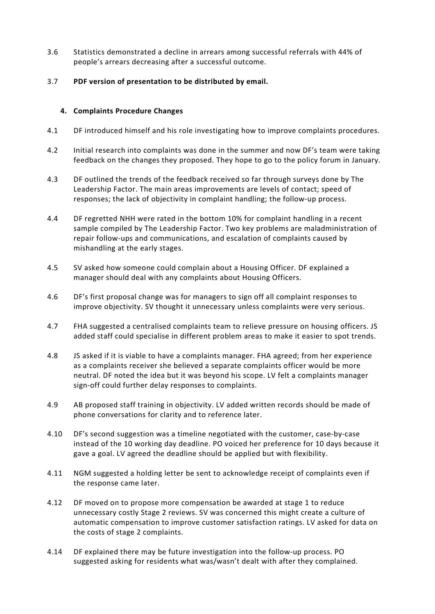- 3.6 Statistics demonstrated a decline in arrears among successful referrals with 44% of people's arrears decreasing after a successful outcome.
- 3.7 **PDF version of presentation to be distributed by email.**

## **4. Complaints Procedure Changes**

- 4.1 DF introduced himself and his role investigating how to improve complaints procedures.
- 4.2 Initial research into complaints was done in the summer and now DF's team were taking feedback on the changes they proposed. They hope to go to the policy forum in January.
- 4.3 DF outlined the trends of the feedback received so far through surveys done by The Leadership Factor. The main areas improvements are levels of contact; speed of responses; the lack of objectivity in complaint handling; the follow-up process.
- 4.4 DF regretted NHH were rated in the bottom 10% for complaint handling in a recent sample compiled by The Leadership Factor. Two key problems are maladministration of repair follow-ups and communications, and escalation of complaints caused by mishandling at the early stages.
- 4.5 SV asked how someone could complain about a Housing Officer. DF explained a manager should deal with any complaints about Housing Officers.
- 4.6 DF's first proposal change was for managers to sign off all complaint responses to improve objectivity. SV thought it unnecessary unless complaints were very serious.
- 4.7 FHA suggested a centralised complaints team to relieve pressure on housing officers. JS added staff could specialise in different problem areas to make it easier to spot trends.
- 4.8 JS asked if it is viable to have a complaints manager. FHA agreed; from her experience as a complaints receiver she believed a separate complaints officer would be more neutral. DF noted the idea but it was beyond his scope. LV felt a complaints manager sign-off could further delay responses to complaints.
- 4.9 AB proposed staff training in objectivity. LV added written records should be made of phone conversations for clarity and to reference later.
- 4.10 DF's second suggestion was a timeline negotiated with the customer, case-by-case instead of the 10 working day deadline. PO voiced her preference for 10 days because it gave a goal. LV agreed the deadline should be applied but with flexibility.
- 4.11 NGM suggested a holding letter be sent to acknowledge receipt of complaints even if the response came later.
- 4.12 DF moved on to propose more compensation be awarded at stage 1 to reduce unnecessary costly Stage 2 reviews. SV was concerned this might create a culture of automatic compensation to improve customer satisfaction ratings. LV asked for data on the costs of stage 2 complaints.
- 4.14 DF explained there may be future investigation into the follow-up process. PO suggested asking for residents what was/wasn't dealt with after they complained.